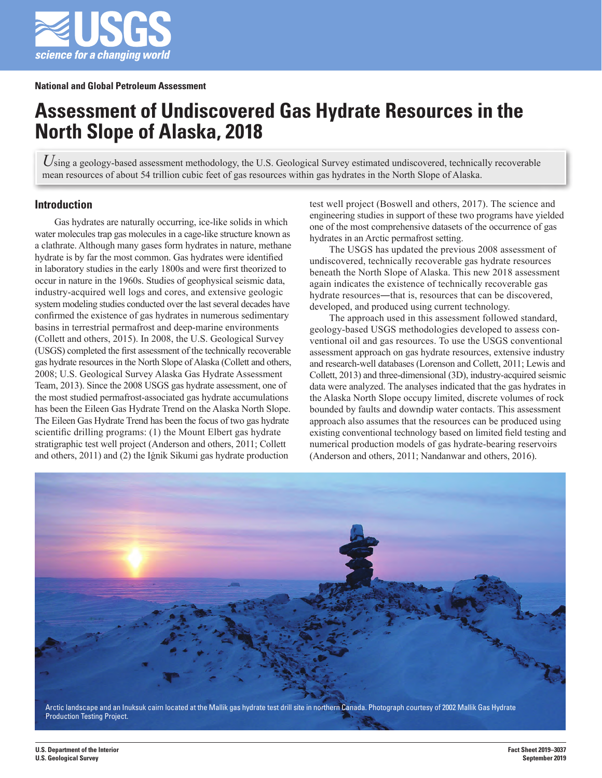

# **Assessment of Undiscovered Gas Hydrate Resources in the North Slope of Alaska, 2018**

Using a geology-based assessment methodology, the U.S. Geological Survey estimated undiscovered, technically recoverable mean resources of about 54 trillion cubic feet of gas resources within gas hydrates in the North Slope of Alaska.

## **Introduction**

Gas hydrates are naturally occurring, ice-like solids in which water molecules trap gas molecules in a cage-like structure known as a clathrate. Although many gases form hydrates in nature, methane hydrate is by far the most common. Gas hydrates were identified in laboratory studies in the early 1800s and were first theorized to occur in nature in the 1960s. Studies of geophysical seismic data, industry-acquired well logs and cores, and extensive geologic system modeling studies conducted over the last several decades have confirmed the existence of gas hydrates in numerous sedimentary basins in terrestrial permafrost and deep-marine environments (Collett and others, 2015). In 2008, the U.S. Geological Survey (USGS) completed the first assessment of the technically recoverable gas hydrate resources in the North Slope of Alaska (Collett and others, 2008; U.S. Geological Survey Alaska Gas Hydrate Assessment Team, 2013). Since the 2008 USGS gas hydrate assessment, one of the most studied permafrost-associated gas hydrate accumulations has been the Eileen Gas Hydrate Trend on the Alaska North Slope. The Eileen Gas Hydrate Trend has been the focus of two gas hydrate scientific drilling programs: (1) the Mount Elbert gas hydrate stratigraphic test well project (Anderson and others, 2011; Collett and others, 2011) and (2) the Iġnik Sikumi gas hydrate production

test well project (Boswell and others, 2017). The science and engineering studies in support of these two programs have yielded one of the most comprehensive datasets of the occurrence of gas hydrates in an Arctic permafrost setting.

The USGS has updated the previous 2008 assessment of undiscovered, technically recoverable gas hydrate resources beneath the North Slope of Alaska. This new 2018 assessment again indicates the existence of technically recoverable gas hydrate resources—that is, resources that can be discovered, developed, and produced using current technology.

The approach used in this assessment followed standard, geology-based USGS methodologies developed to assess conventional oil and gas resources. To use the USGS conventional assessment approach on gas hydrate resources, extensive industry and research-well databases (Lorenson and Collett, 2011; Lewis and Collett, 2013) and three-dimensional (3D), industry-acquired seismic data were analyzed. The analyses indicated that the gas hydrates in the Alaska North Slope occupy limited, discrete volumes of rock bounded by faults and downdip water contacts. This assessment approach also assumes that the resources can be produced using existing conventional technology based on limited field testing and numerical production models of gas hydrate-bearing reservoirs (Anderson and others, 2011; Nandanwar and others, 2016).



Arctic landscape and an Inuksuk cairn located at the Mallik gas hydrate test drill site in northern Canada. Photograph courtesy of 2002 Mallik Gas Hydrate Production Testing Project.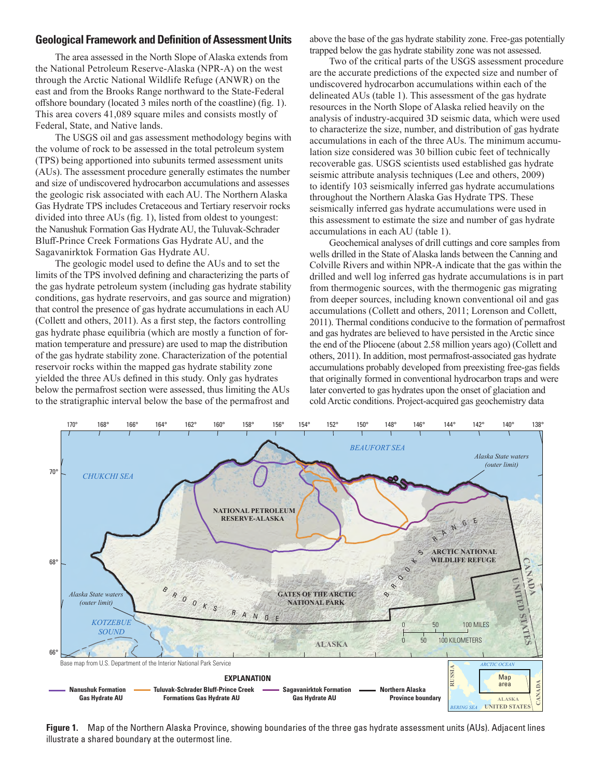### **Geological Framework and Definition of Assessment Units**

The area assessed in the North Slope of Alaska extends from the National Petroleum Reserve-Alaska (NPR-A) on the west through the Arctic National Wildlife Refuge (ANWR) on the east and from the Brooks Range northward to the State-Federal offshore boundary (located 3 miles north of the coastline) (fig. 1). This area covers 41,089 square miles and consists mostly of Federal, State, and Native lands.

The USGS oil and gas assessment methodology begins with the volume of rock to be assessed in the total petroleum system (TPS) being apportioned into subunits termed assessment units (AUs). The assessment procedure generally estimates the number and size of undiscovered hydrocarbon accumulations and assesses the geologic risk associated with each AU. The Northern Alaska Gas Hydrate TPS includes Cretaceous and Tertiary reservoir rocks divided into three AUs (fig. 1), listed from oldest to youngest: the Nanushuk Formation Gas Hydrate AU, the Tuluvak-Schrader Bluff-Prince Creek Formations Gas Hydrate AU, and the Sagavanirktok Formation Gas Hydrate AU.

The geologic model used to define the AUs and to set the limits of the TPS involved defining and characterizing the parts of the gas hydrate petroleum system (including gas hydrate stability conditions, gas hydrate reservoirs, and gas source and migration) that control the presence of gas hydrate accumulations in each AU (Collett and others, 2011). As a first step, the factors controlling gas hydrate phase equilibria (which are mostly a function of formation temperature and pressure) are used to map the distribution of the gas hydrate stability zone. Characterization of the potential reservoir rocks within the mapped gas hydrate stability zone yielded the three AUs defined in this study. Only gas hydrates below the permafrost section were assessed, thus limiting the AUs to the stratigraphic interval below the base of the permafrost and

above the base of the gas hydrate stability zone. Free-gas potentially trapped below the gas hydrate stability zone was not assessed.

Two of the critical parts of the USGS assessment procedure are the accurate predictions of the expected size and number of undiscovered hydrocarbon accumulations within each of the delineated AUs (table 1). This assessment of the gas hydrate resources in the North Slope of Alaska relied heavily on the analysis of industry-acquired 3D seismic data, which were used to characterize the size, number, and distribution of gas hydrate accumulations in each of the three AUs. The minimum accumulation size considered was 30 billion cubic feet of technically recoverable gas. USGS scientists used established gas hydrate seismic attribute analysis techniques (Lee and others, 2009) to identify 103 seismically inferred gas hydrate accumulations throughout the Northern Alaska Gas Hydrate TPS. These seismically inferred gas hydrate accumulations were used in this assessment to estimate the size and number of gas hydrate accumulations in each AU (table 1).

Geochemical analyses of drill cuttings and core samples from wells drilled in the State of Alaska lands between the Canning and Colville Rivers and within NPR-A indicate that the gas within the drilled and well log inferred gas hydrate accumulations is in part from thermogenic sources, with the thermogenic gas migrating from deeper sources, including known conventional oil and gas accumulations (Collett and others, 2011; Lorenson and Collett, 2011). Thermal conditions conducive to the formation of permafrost and gas hydrates are believed to have persisted in the Arctic since the end of the Pliocene (about 2.58 million years ago) (Collett and others, 2011). In addition, most permafrost-associated gas hydrate accumulations probably developed from preexisting free-gas fields that originally formed in conventional hydrocarbon traps and were later converted to gas hydrates upon the onset of glaciation and cold Arctic conditions. Project-acquired gas geochemistry data



**Figure 1.** Map of the Northern Alaska Province, showing boundaries of the three gas hydrate assessment units (AUs). Adjacent lines illustrate a shared boundary at the outermost line.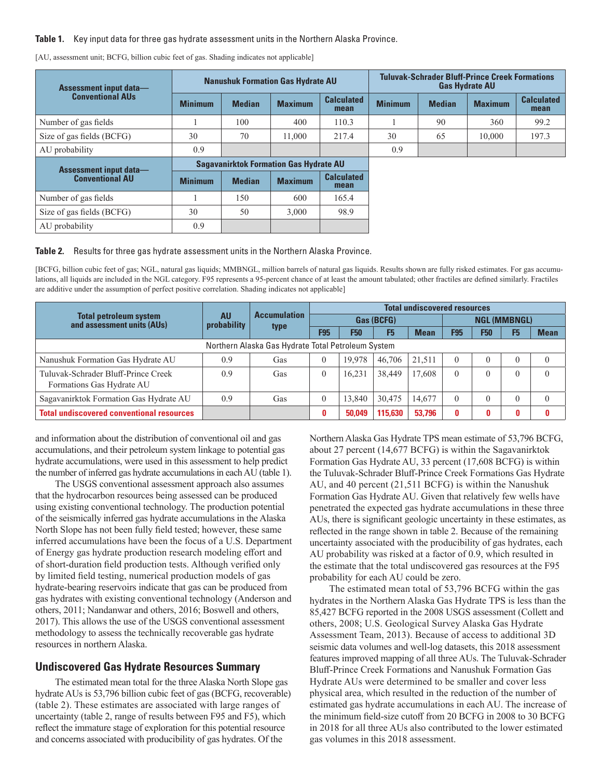#### **Table 1.** Key input data for three gas hydrate assessment units in the Northern Alaska Province.

| <b>Assessment input data—</b><br><b>Conventional AUs</b> | <b>Nanushuk Formation Gas Hydrate AU</b> |               |                                               |                           | <b>Tuluvak-Schrader Bluff-Prince Creek Formations</b><br><b>Gas Hydrate AU</b> |               |                |                           |  |
|----------------------------------------------------------|------------------------------------------|---------------|-----------------------------------------------|---------------------------|--------------------------------------------------------------------------------|---------------|----------------|---------------------------|--|
|                                                          | <b>Minimum</b>                           | <b>Median</b> | <b>Maximum</b>                                | <b>Calculated</b><br>mean | <b>Minimum</b>                                                                 | <b>Median</b> | <b>Maximum</b> | <b>Calculated</b><br>mean |  |
| Number of gas fields                                     |                                          | 100           | 400                                           | 110.3                     |                                                                                | 90            | 360            | 99.2                      |  |
| Size of gas fields (BCFG)                                | 30                                       | 70            | 11,000                                        | 217.4                     | 30                                                                             | 65            | 10,000         | 197.3                     |  |
| AU probability                                           | 0.9                                      |               |                                               |                           | 0.9                                                                            |               |                |                           |  |
| <b>Assessment input data—</b><br><b>Conventional AU</b>  |                                          |               | <b>Sagavanirktok Formation Gas Hydrate AU</b> |                           |                                                                                |               |                |                           |  |
|                                                          | <b>Minimum</b>                           | <b>Median</b> | <b>Maximum</b>                                | <b>Calculated</b><br>mean |                                                                                |               |                |                           |  |
| Number of gas fields                                     |                                          | 150           | 600                                           | 165.4                     |                                                                                |               |                |                           |  |
| Size of gas fields (BCFG)                                | 30                                       | 50            | 3,000                                         | 98.9                      |                                                                                |               |                |                           |  |
| AU probability                                           | 0.9                                      |               |                                               |                           |                                                                                |               |                |                           |  |

[AU, assessment unit; BCFG, billion cubic feet of gas. Shading indicates not applicable]

#### **Table 2.** Results for three gas hydrate assessment units in the Northern Alaska Province.

[BCFG, billion cubic feet of gas; NGL, natural gas liquids; MMBNGL, million barrels of natural gas liquids. Results shown are fully risked estimates. For gas accumulations, all liquids are included in the NGL category. F95 represents a 95-percent chance of at least the amount tabulated; other fractiles are defined similarly. Fractiles are additive under the assumption of perfect positive correlation. Shading indicates not applicable]

|                                                                  | <b>AU</b><br>probability | <b>Accumulation</b><br>type | <b>Total undiscovered resources</b> |            |                |             |                     |            |                |             |  |
|------------------------------------------------------------------|--------------------------|-----------------------------|-------------------------------------|------------|----------------|-------------|---------------------|------------|----------------|-------------|--|
| <b>Total petroleum system</b><br>and assessment units (AUs)      |                          |                             | Gas (BCFG)                          |            |                |             | <b>NGL (MMBNGL)</b> |            |                |             |  |
|                                                                  |                          |                             | <b>F95</b>                          | <b>F50</b> | F <sub>5</sub> | <b>Mean</b> | <b>F95</b>          | <b>F50</b> | F <sub>5</sub> | <b>Mean</b> |  |
| Northern Alaska Gas Hydrate Total Petroleum System               |                          |                             |                                     |            |                |             |                     |            |                |             |  |
| Nanushuk Formation Gas Hydrate AU                                | 0.9                      | Gas                         |                                     | 19.978     | 46,706         | 21.511      | $\theta$            |            |                | $\theta$    |  |
| Tuluvak-Schrader Bluff-Prince Creek<br>Formations Gas Hydrate AU | 0.9                      | Gas                         |                                     | 16.231     | 38,449         | 17,608      | $\theta$            |            |                | $\theta$    |  |
| Sagavanirktok Formation Gas Hydrate AU                           | 0.9                      | Gas                         |                                     | 13,840     | 30,475         | 14,677      | $\theta$            |            |                | $\theta$    |  |
| <b>Total undiscovered conventional resources</b>                 |                          |                             | 0                                   | 50.049     | 115.630        | 53,796      | 0                   | 0          | 0              |             |  |

and information about the distribution of conventional oil and gas accumulations, and their petroleum system linkage to potential gas hydrate accumulations, were used in this assessment to help predict the number of inferred gas hydrate accumulations in each AU (table 1).

The USGS conventional assessment approach also assumes that the hydrocarbon resources being assessed can be produced using existing conventional technology. The production potential of the seismically inferred gas hydrate accumulations in the Alaska North Slope has not been fully field tested; however, these same inferred accumulations have been the focus of a U.S. Department of Energy gas hydrate production research modeling effort and of short-duration field production tests. Although verified only by limited field testing, numerical production models of gas hydrate-bearing reservoirs indicate that gas can be produced from gas hydrates with existing conventional technology (Anderson and others, 2011; Nandanwar and others, 2016; Boswell and others, 2017). This allows the use of the USGS conventional assessment methodology to assess the technically recoverable gas hydrate resources in northern Alaska.

## **Undiscovered Gas Hydrate Resources Summary**

The estimated mean total for the three Alaska North Slope gas hydrate AUs is 53,796 billion cubic feet of gas (BCFG, recoverable) (table 2). These estimates are associated with large ranges of uncertainty (table 2, range of results between F95 and F5), which reflect the immature stage of exploration for this potential resource and concerns associated with producibility of gas hydrates. Of the

Northern Alaska Gas Hydrate TPS mean estimate of 53,796 BCFG, about 27 percent (14,677 BCFG) is within the Sagavanirktok Formation Gas Hydrate AU, 33 percent (17,608 BCFG) is within the Tuluvak-Schrader Bluff-Prince Creek Formations Gas Hydrate AU, and 40 percent (21,511 BCFG) is within the Nanushuk Formation Gas Hydrate AU. Given that relatively few wells have penetrated the expected gas hydrate accumulations in these three AUs, there is significant geologic uncertainty in these estimates, as reflected in the range shown in table 2. Because of the remaining uncertainty associated with the producibility of gas hydrates, each AU probability was risked at a factor of 0.9, which resulted in the estimate that the total undiscovered gas resources at the F95 probability for each AU could be zero.

The estimated mean total of 53,796 BCFG within the gas hydrates in the Northern Alaska Gas Hydrate TPS is less than the 85,427 BCFG reported in the 2008 USGS assessment (Collett and others, 2008; U.S. Geological Survey Alaska Gas Hydrate Assessment Team, 2013). Because of access to additional 3D seismic data volumes and well-log datasets, this 2018 assessment features improved mapping of all three AUs. The Tuluvak-Schrader Bluff-Prince Creek Formations and Nanushuk Formation Gas Hydrate AUs were determined to be smaller and cover less physical area, which resulted in the reduction of the number of estimated gas hydrate accumulations in each AU. The increase of the minimum field-size cutoff from 20 BCFG in 2008 to 30 BCFG in 2018 for all three AUs also contributed to the lower estimated gas volumes in this 2018 assessment.